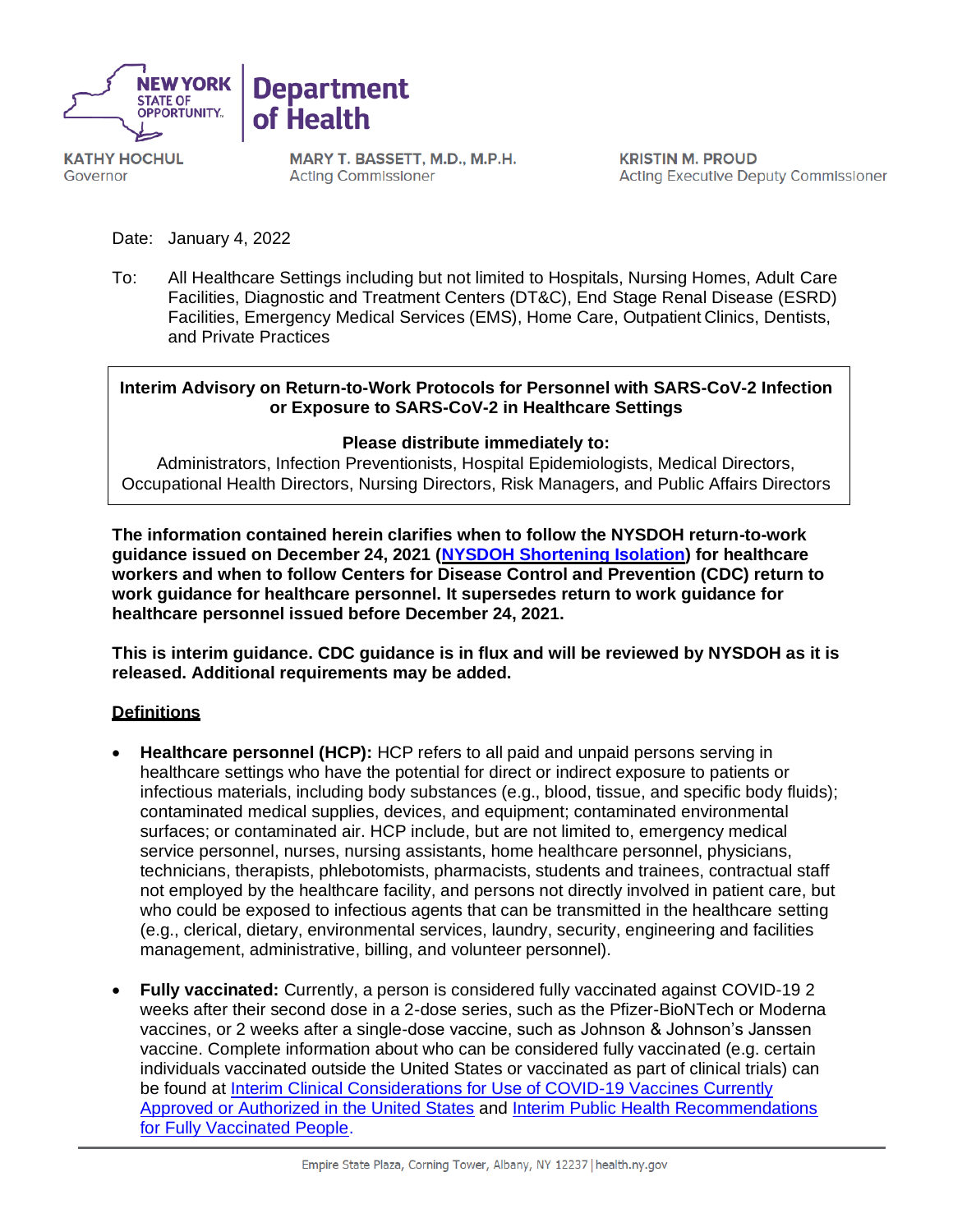



**KATHY HOCHUL** Governor

MARY T. BASSETT, M.D., M.P.H. **Acting Commissioner** 

**KRISTIN M. PROUD Acting Executive Deputy Commissioner** 

Date: January 4, 2022

To: All Healthcare Settings including but not limited to Hospitals, Nursing Homes, Adult Care Facilities, Diagnostic and Treatment Centers (DT&C), End Stage Renal Disease (ESRD) Facilities, Emergency Medical Services (EMS), Home Care, Outpatient Clinics, Dentists, and Private Practices

# **Interim Advisory on Return-to-Work Protocols for Personnel with SARS-CoV-2 Infection or Exposure to SARS-CoV-2 in Healthcare Settings**

### **Please distribute immediately to:**

Administrators, Infection Preventionists, Hospital Epidemiologists, Medical Directors, Occupational Health Directors, Nursing Directors, Risk Managers, and Public Affairs Directors

**The information contained herein clarifies when to follow the NYSDOH return-to-work guidance issued on December 24, 2021 [\(NYSDOH Shortening Isolation\)](https://coronavirus.health.ny.gov/system/files/documents/2021/12/return-to-work-isolation-guidance_12-24-21.pdf) for healthcare workers and when to follow Centers for Disease Control and Prevention (CDC) return to work guidance for healthcare personnel. It supersedes return to work guidance for healthcare personnel issued before December 24, 2021.**

**This is interim guidance. CDC guidance is in flux and will be reviewed by NYSDOH as it is released. Additional requirements may be added.**

### **Definitions**

- **Healthcare personnel (HCP):** HCP refers to all paid and unpaid persons serving in healthcare settings who have the potential for direct or indirect exposure to patients or infectious materials, including body substances (e.g., blood, tissue, and specific body fluids); contaminated medical supplies, devices, and equipment; contaminated environmental surfaces; or contaminated air. HCP include, but are not limited to, emergency medical service personnel, nurses, nursing assistants, home healthcare personnel, physicians, technicians, therapists, phlebotomists, pharmacists, students and trainees, contractual staff not employed by the healthcare facility, and persons not directly involved in patient care, but who could be exposed to infectious agents that can be transmitted in the healthcare setting (e.g., clerical, dietary, environmental services, laundry, security, engineering and facilities management, administrative, billing, and volunteer personnel).
- **Fully vaccinated:** Currently, a person is considered fully vaccinated against COVID-19 2 weeks after their second dose in a 2-dose series, such as the Pfizer-BioNTech or Moderna vaccines, or 2 weeks after a single-dose vaccine, such as Johnson & Johnson's Janssen vaccine. Complete information about who can be considered fully vaccinated (e.g. certain individuals vaccinated outside the United States or vaccinated as part of clinical trials) can be found at [Interim Clinical Considerations for Use of COVID-19 Vaccines Currently](https://www.cdc.gov/vaccines/covid-19/clinical-considerations/covid-19-vaccines-us.html)  [Approved or Authorized in the United States](https://www.cdc.gov/vaccines/covid-19/clinical-considerations/covid-19-vaccines-us.html) and [Interim Public Health Recommendations](https://www.cdc.gov/coronavirus/2019-ncov/vaccines/fully-vaccinated-guidance.html)  [for Fully Vaccinated People.](https://www.cdc.gov/coronavirus/2019-ncov/vaccines/fully-vaccinated-guidance.html)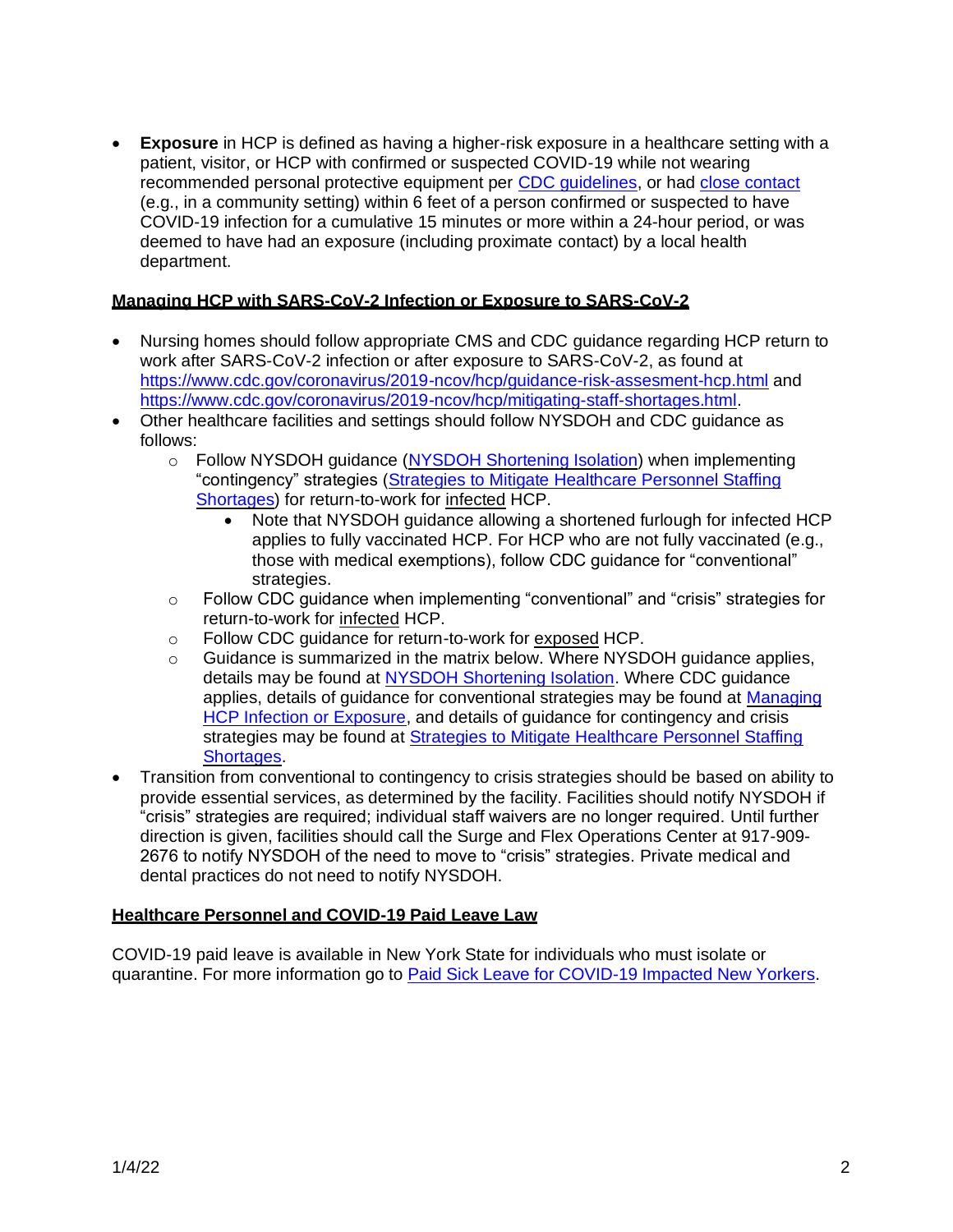**Exposure** in HCP is defined as having a higher-risk exposure in a healthcare setting with a patient, visitor, or HCP with confirmed or suspected COVID-19 while not wearing recommended personal protective equipment per [CDC guidelines,](https://www.cdc.gov/coronavirus/2019-ncov/hcp/guidance-risk-assesment-hcp.html) or had [close contact](https://www.cdc.gov/coronavirus/2019-ncov/your-health/quarantine-isolation.html#closecontact) (e.g., in a community setting) within 6 feet of a person confirmed or suspected to have COVID-19 infection for a cumulative 15 minutes or more within a 24-hour period, or was deemed to have had an exposure (including proximate contact) by a local health department.

# **Managing HCP with SARS-CoV-2 Infection or Exposure to SARS-CoV-2**

- Nursing homes should follow appropriate CMS and CDC guidance regarding HCP return to work after SARS-CoV-2 infection or after exposure to SARS-CoV-2, as found at <https://www.cdc.gov/coronavirus/2019-ncov/hcp/guidance-risk-assesment-hcp.html> and [https://www.cdc.gov/coronavirus/2019-ncov/hcp/mitigating-staff-shortages.html.](https://www.cdc.gov/coronavirus/2019-ncov/hcp/mitigating-staff-shortages.html)
- Other healthcare facilities and settings should follow NYSDOH and CDC guidance as follows:
	- o Follow NYSDOH guidance [\(NYSDOH Shortening Isolation\)](https://coronavirus.health.ny.gov/system/files/documents/2021/12/return-to-work-isolation-guidance_12-24-21.pdf) when implementing "contingency" strategies (Strategies to Mitigate [Healthcare Personnel Staffing](https://www.cdc.gov/coronavirus/2019-ncov/hcp/mitigating-staff-shortages.html)  [Shortages\)](https://www.cdc.gov/coronavirus/2019-ncov/hcp/mitigating-staff-shortages.html) for return-to-work for infected HCP.
		- Note that NYSDOH guidance allowing a shortened furlough for infected HCP applies to fully vaccinated HCP. For HCP who are not fully vaccinated (e.g., those with medical exemptions), follow CDC guidance for "conventional" strategies.
	- $\circ$  Follow CDC guidance when implementing "conventional" and "crisis" strategies for return-to-work for infected HCP.
	- o Follow CDC guidance for return-to-work for exposed HCP.
	- $\circ$  Guidance is summarized in the matrix below. Where NYSDOH quidance applies, details may be found at [NYSDOH Shortening Isolation.](https://coronavirus.health.ny.gov/system/files/documents/2021/12/return-to-work-isolation-guidance_12-24-21.pdf) Where CDC guidance applies, details of guidance for conventional strategies may be found at [Managing](https://www.cdc.gov/coronavirus/2019-ncov/hcp/guidance-risk-assesment-hcp.html)  [HCP Infection or Exposure,](https://www.cdc.gov/coronavirus/2019-ncov/hcp/guidance-risk-assesment-hcp.html) and details of guidance for contingency and crisis strategies may be found at Strategies to Mitigate Healthcare Personnel Staffing **Shortages**
- Transition from conventional to contingency to crisis strategies should be based on ability to provide essential services, as determined by the facility. Facilities should notify NYSDOH if "crisis" strategies are required; individual staff waivers are no longer required. Until further direction is given, facilities should call the Surge and Flex Operations Center at 917-909- 2676 to notify NYSDOH of the need to move to "crisis" strategies. Private medical and dental practices do not need to notify NYSDOH.

### **Healthcare Personnel and COVID-19 Paid Leave Law**

COVID-19 paid leave is available in New York State for individuals who must isolate or quarantine. For more information go to Paid Sick Leave for [COVID-19](https://paidfamilyleave.ny.gov/COVID19) Impacted New Yorkers.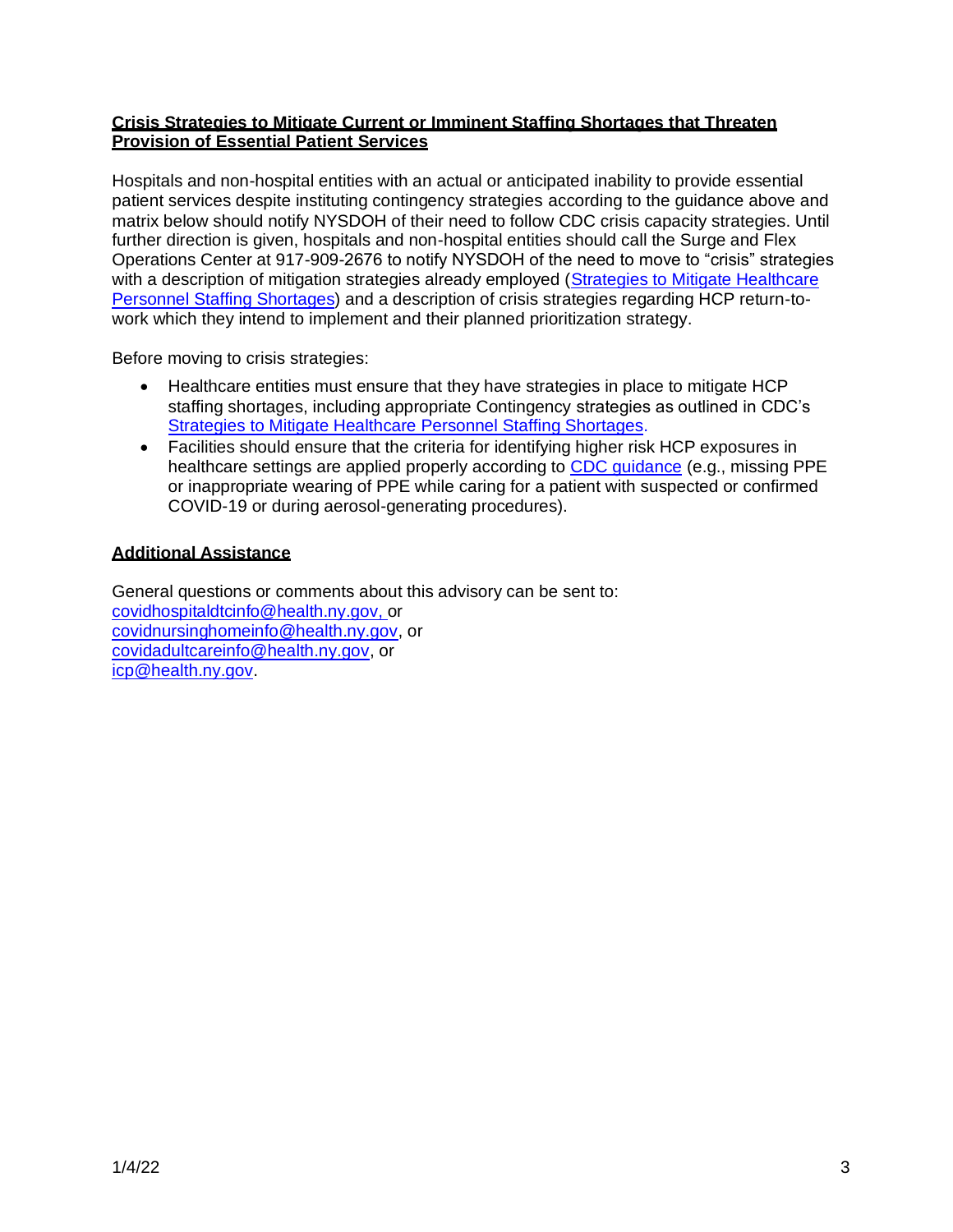## **Crisis Strategies to Mitigate Current or Imminent Staffing Shortages that Threaten Provision of Essential Patient Services**

Hospitals and non-hospital entities with an actual or anticipated inability to provide essential patient services despite instituting contingency strategies according to the guidance above and matrix below should notify NYSDOH of their need to follow CDC crisis capacity strategies. Until further direction is given, hospitals and non-hospital entities should call the Surge and Flex Operations Center at 917-909-2676 to notify NYSDOH of the need to move to "crisis" strategies with a description of mitigation strategies already employed (Strategies to Mitigate [Healthcare](https://www.cdc.gov/coronavirus/2019-ncov/hcp/mitigating-staff-shortages.html) Personnel Staffing [Shortages\)](https://www.cdc.gov/coronavirus/2019-ncov/hcp/mitigating-staff-shortages.html) and a description of crisis strategies regarding HCP return-towork which they intend to implement and their planned prioritization strategy.

Before moving to crisis strategies:

- Healthcare entities must ensure that they have strategies in place to mitigate HCP staffing shortages, including appropriate Contingency strategies as outlined in CDC's Strategies to Mitigate [Healthcare](https://www.cdc.gov/coronavirus/2019-ncov/hcp/mitigating-staff-shortages.html) Personnel Staffing Shortages.
- Facilities should ensure that the criteria for identifying higher risk HCP exposures in healthcare settings are applied properly according to CDC quidance (e.g., missing PPE or inappropriate wearing of PPE while caring for a patient with suspected or confirmed COVID-19 or during aerosol-generating procedures).

### **Additional Assistance**

General questions or comments about this advisory can be sent to: [covidhospitaldtcinfo@health.ny.gov,](mailto:covidhospitaldtcinfo@health.ny.gov,) or [covidnursinghomeinfo@health.ny.gov,](mailto:covidnursinghomeinfo@health.ny.gov) or [covidadultcareinfo@health.ny.gov,](mailto:covidadultcareinfo@health.ny.gov.) or [icp@health.ny.gov.](mailto:icp@health.ny.gov)